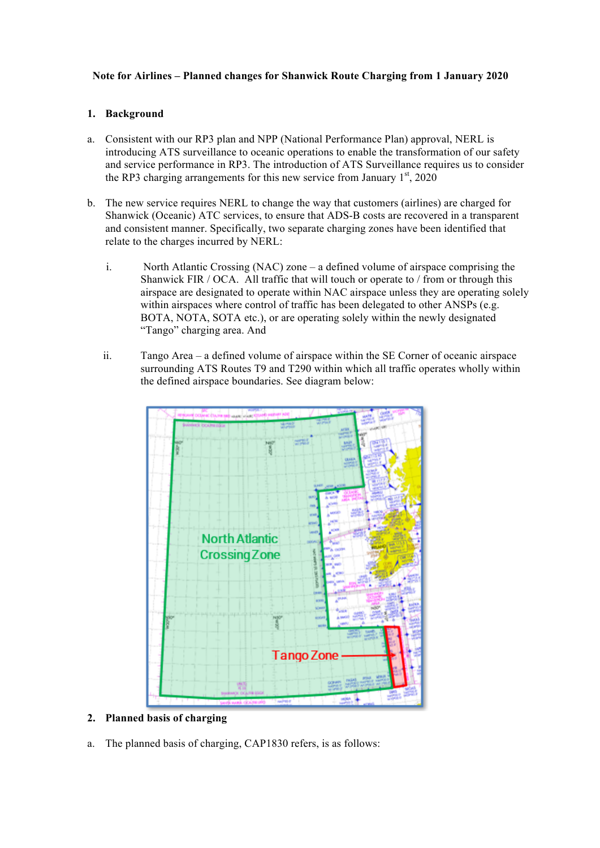## **Note for Airlines – Planned changes for Shanwick Route Charging from 1 January 2020**

## **1. Background**

- a. Consistent with our RP3 plan and NPP (National Performance Plan) approval, NERL is introducing ATS surveillance to oceanic operations to enable the transformation of our safety and service performance in RP3. The introduction of ATS Surveillance requires us to consider the RP3 charging arrangements for this new service from January  $1<sup>st</sup>$ , 2020
- b. The new service requires NERL to change the way that customers (airlines) are charged for Shanwick (Oceanic) ATC services, to ensure that ADS-B costs are recovered in a transparent and consistent manner. Specifically, two separate charging zones have been identified that relate to the charges incurred by NERL:
	- i. North Atlantic Crossing (NAC) zone a defined volume of airspace comprising the Shanwick FIR / OCA. All traffic that will touch or operate to  $/$  from or through this airspace are designated to operate within NAC airspace unless they are operating solely within airspaces where control of traffic has been delegated to other ANSPs (e.g. BOTA, NOTA, SOTA etc.), or are operating solely within the newly designated "Tango" charging area. And
	- ii. Tango Area a defined volume of airspace within the SE Corner of oceanic airspace surrounding ATS Routes T9 and T290 within which all traffic operates wholly within the defined airspace boundaries. See diagram below:



## **2. Planned basis of charging**

a. The planned basis of charging, CAP1830 refers, is as follows: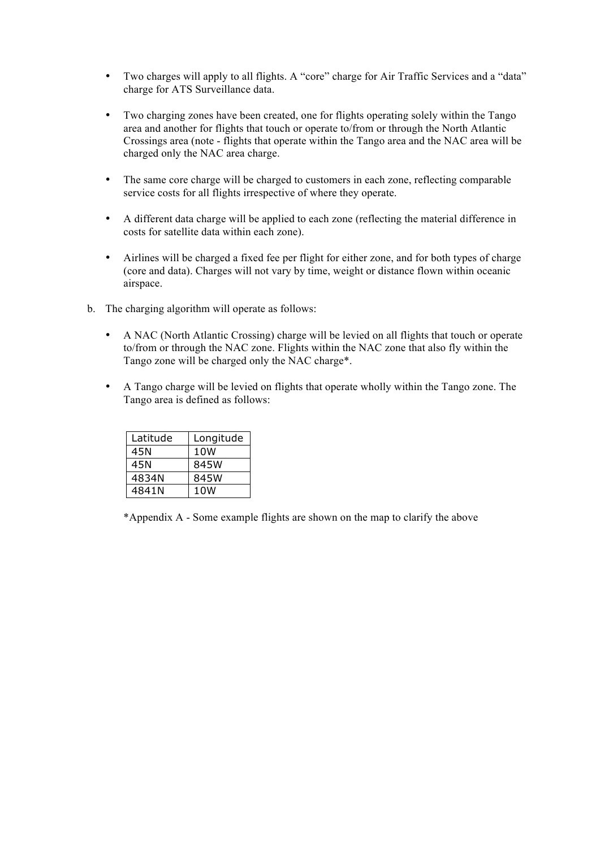- Two charges will apply to all flights. A "core" charge for Air Traffic Services and a "data" charge for ATS Surveillance data.
- Two charging zones have been created, one for flights operating solely within the Tango area and another for flights that touch or operate to/from or through the North Atlantic Crossings area (note - flights that operate within the Tango area and the NAC area will be charged only the NAC area charge.
- The same core charge will be charged to customers in each zone, reflecting comparable service costs for all flights irrespective of where they operate.
- A different data charge will be applied to each zone (reflecting the material difference in costs for satellite data within each zone).
- Airlines will be charged a fixed fee per flight for either zone, and for both types of charge (core and data). Charges will not vary by time, weight or distance flown within oceanic airspace.
- b. The charging algorithm will operate as follows:
	- A NAC (North Atlantic Crossing) charge will be levied on all flights that touch or operate to/from or through the NAC zone. Flights within the NAC zone that also fly within the Tango zone will be charged only the NAC charge\*.
	- A Tango charge will be levied on flights that operate wholly within the Tango zone. The Tango area is defined as follows:

| Latitude | Longitude |
|----------|-----------|
| 45N      | 10W       |
| 45N      | 845W      |
| 4834N    | 845W      |
| 4841N    | 10W       |

\*Appendix A - Some example flights are shown on the map to clarify the above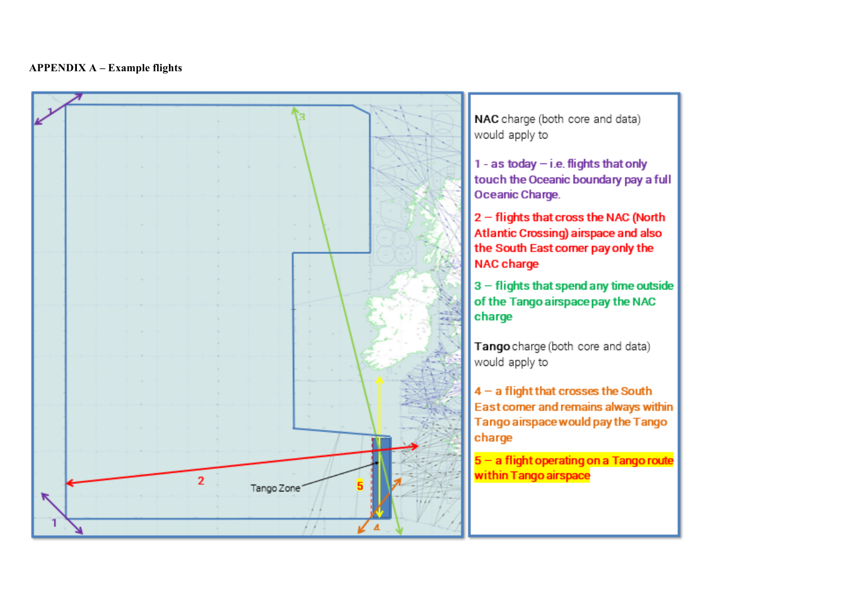## $APPENDIX A - Example flights$